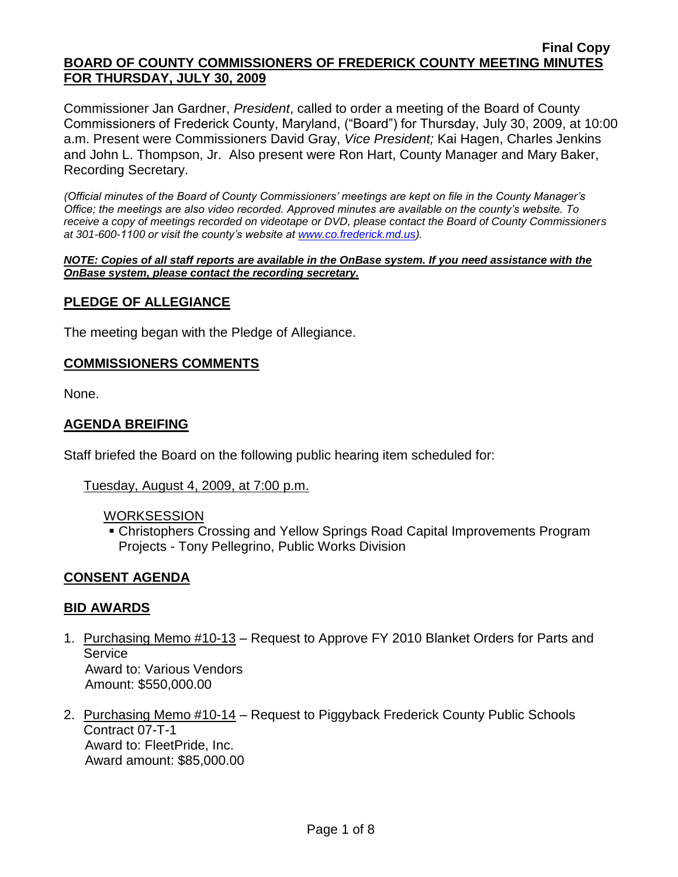Commissioner Jan Gardner, *President*, called to order a meeting of the Board of County Commissioners of Frederick County, Maryland, ("Board") for Thursday, July 30, 2009, at 10:00 a.m. Present were Commissioners David Gray, *Vice President;* Kai Hagen, Charles Jenkins and John L. Thompson, Jr. Also present were Ron Hart, County Manager and Mary Baker, Recording Secretary.

*(Official minutes of the Board of County Commissioners' meetings are kept on file in the County Manager's Office; the meetings are also video recorded. Approved minutes are available on the county's website. To receive a copy of meetings recorded on videotape or DVD, please contact the Board of County Commissioners at 301-600-1100 or visit the county's website at [www.co.frederick.md.us\)](http://www.co.frederick.md.us/).*

*NOTE: Copies of all staff reports are available in the OnBase system. If you need assistance with the OnBase system, please contact the recording secretary.*

### **PLEDGE OF ALLEGIANCE**

The meeting began with the Pledge of Allegiance.

#### **COMMISSIONERS COMMENTS**

None.

# **AGENDA BREIFING**

Staff briefed the Board on the following public hearing item scheduled for:

#### Tuesday, August 4, 2009, at 7:00 p.m.

#### WORKSESSION

 Christophers Crossing and Yellow Springs Road Capital Improvements Program Projects - Tony Pellegrino, Public Works Division

### **CONSENT AGENDA**

### **BID AWARDS**

- 1. Purchasing Memo #10-13 Request to Approve FY 2010 Blanket Orders for Parts and Service Award to: Various Vendors Amount: \$550,000.00
- 2. Purchasing Memo #10-14 Request to Piggyback Frederick County Public Schools Contract 07-T-1 Award to: FleetPride, Inc. Award amount: \$85,000.00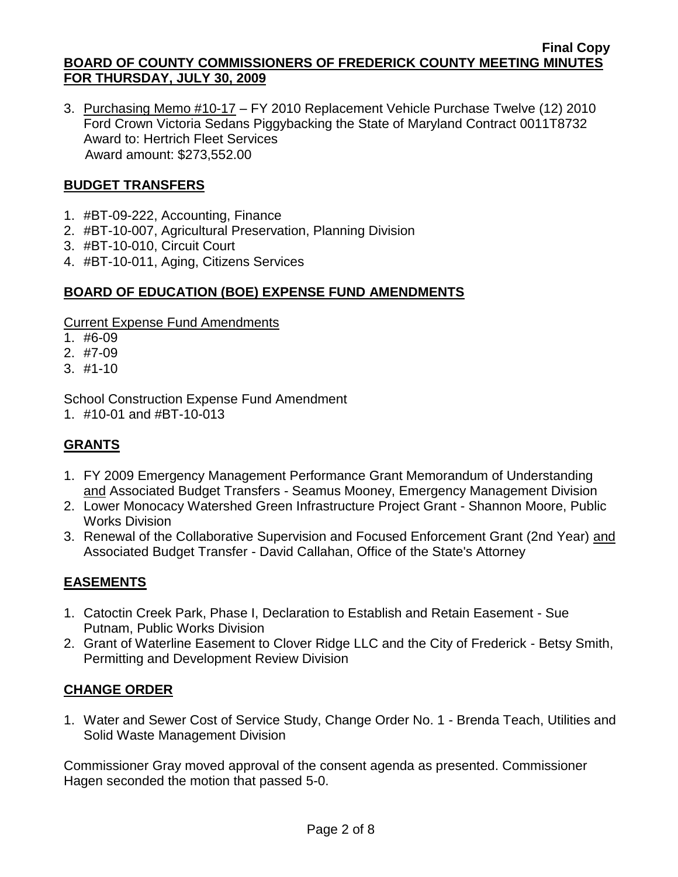3. Purchasing Memo #10-17 – FY 2010 Replacement Vehicle Purchase Twelve (12) 2010 Ford Crown Victoria Sedans Piggybacking the State of Maryland Contract 0011T8732 Award to: Hertrich Fleet Services Award amount: \$273,552.00

# **BUDGET TRANSFERS**

- 1. #BT-09-222, Accounting, Finance
- 2. #BT-10-007, Agricultural Preservation, Planning Division
- 3. #BT-10-010, Circuit Court
- 4. #BT-10-011, Aging, Citizens Services

### **BOARD OF EDUCATION (BOE) EXPENSE FUND AMENDMENTS**

#### Current Expense Fund Amendments

- 1. #6-09
- 2. #7-09
- 3. #1-10

School Construction Expense Fund Amendment

1. #10-01 and #BT-10-013

# **GRANTS**

- 1. FY 2009 Emergency Management Performance Grant Memorandum of Understanding and Associated Budget Transfers - Seamus Mooney, Emergency Management Division
- 2. Lower Monocacy Watershed Green Infrastructure Project Grant Shannon Moore, Public Works Division
- 3. Renewal of the Collaborative Supervision and Focused Enforcement Grant (2nd Year) and Associated Budget Transfer - David Callahan, Office of the State's Attorney

### **EASEMENTS**

- 1. Catoctin Creek Park, Phase I, Declaration to Establish and Retain Easement Sue Putnam, Public Works Division
- 2. Grant of Waterline Easement to Clover Ridge LLC and the City of Frederick Betsy Smith, Permitting and Development Review Division

### **CHANGE ORDER**

1. Water and Sewer Cost of Service Study, Change Order No. 1 - Brenda Teach, Utilities and Solid Waste Management Division

Commissioner Gray moved approval of the consent agenda as presented. Commissioner Hagen seconded the motion that passed 5-0.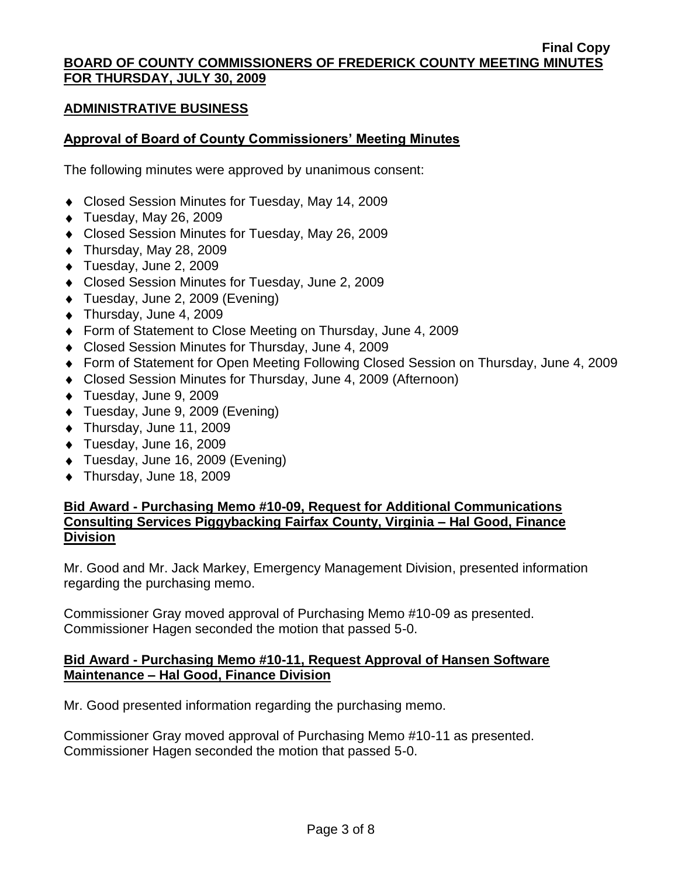#### **ADMINISTRATIVE BUSINESS**

### **Approval of Board of County Commissioners' Meeting Minutes**

The following minutes were approved by unanimous consent:

- ◆ Closed Session Minutes for Tuesday, May 14, 2009
- $\blacklozenge$  Tuesday, May 26, 2009
- Closed Session Minutes for Tuesday, May 26, 2009
- $\blacklozenge$  Thursday, May 28, 2009
- Tuesday, June 2, 2009
- Closed Session Minutes for Tuesday, June 2, 2009
- ◆ Tuesday, June 2, 2009 (Evening)
- ◆ Thursday, June 4, 2009
- ◆ Form of Statement to Close Meeting on Thursday, June 4, 2009
- Closed Session Minutes for Thursday, June 4, 2009
- Form of Statement for Open Meeting Following Closed Session on Thursday, June 4, 2009
- Closed Session Minutes for Thursday, June 4, 2009 (Afternoon)
- ◆ Tuesday, June 9, 2009
- ◆ Tuesday, June 9, 2009 (Evening)
- ◆ Thursday, June 11, 2009
- ◆ Tuesday, June 16, 2009
- Tuesday, June 16, 2009 (Evening)
- ◆ Thursday, June 18, 2009

### **Bid Award - Purchasing Memo #10-09, Request for Additional Communications Consulting Services Piggybacking Fairfax County, Virginia – Hal Good, Finance Division**

Mr. Good and Mr. Jack Markey, Emergency Management Division, presented information regarding the purchasing memo.

Commissioner Gray moved approval of Purchasing Memo #10-09 as presented. Commissioner Hagen seconded the motion that passed 5-0.

### **Bid Award - Purchasing Memo #10-11, Request Approval of Hansen Software Maintenance – Hal Good, Finance Division**

Mr. Good presented information regarding the purchasing memo.

Commissioner Gray moved approval of Purchasing Memo #10-11 as presented. Commissioner Hagen seconded the motion that passed 5-0.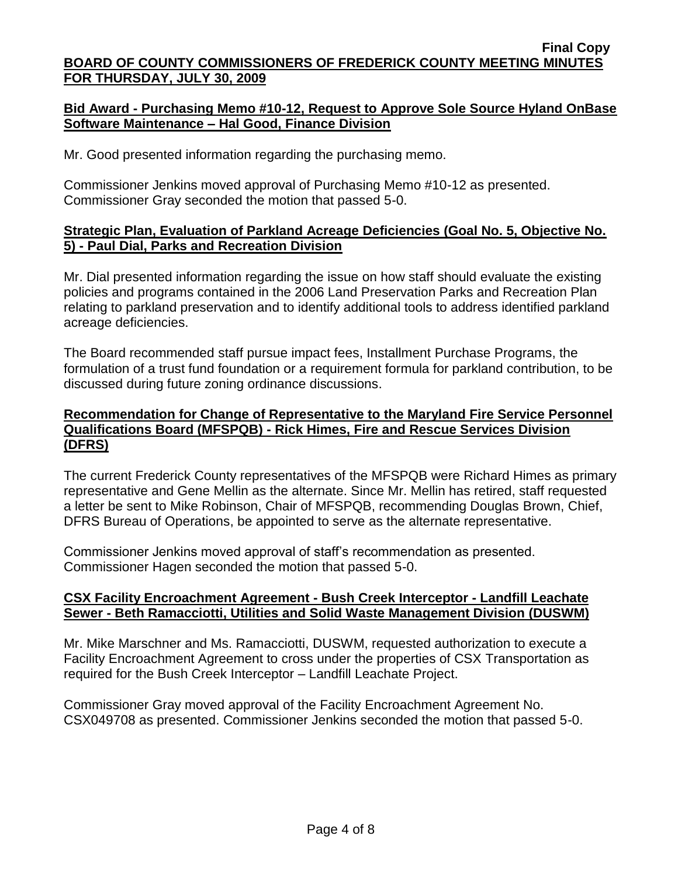# **Bid Award - Purchasing Memo #10-12, Request to Approve Sole Source Hyland OnBase Software Maintenance – Hal Good, Finance Division**

Mr. Good presented information regarding the purchasing memo.

Commissioner Jenkins moved approval of Purchasing Memo #10-12 as presented. Commissioner Gray seconded the motion that passed 5-0.

# **Strategic Plan, Evaluation of Parkland Acreage Deficiencies (Goal No. 5, Objective No. 5) - Paul Dial, Parks and Recreation Division**

Mr. Dial presented information regarding the issue on how staff should evaluate the existing policies and programs contained in the 2006 Land Preservation Parks and Recreation Plan relating to parkland preservation and to identify additional tools to address identified parkland acreage deficiencies.

The Board recommended staff pursue impact fees, Installment Purchase Programs, the formulation of a trust fund foundation or a requirement formula for parkland contribution, to be discussed during future zoning ordinance discussions.

# **Recommendation for Change of Representative to the Maryland Fire Service Personnel Qualifications Board (MFSPQB) - Rick Himes, Fire and Rescue Services Division (DFRS)**

The current Frederick County representatives of the MFSPQB were Richard Himes as primary representative and Gene Mellin as the alternate. Since Mr. Mellin has retired, staff requested a letter be sent to Mike Robinson, Chair of MFSPQB, recommending Douglas Brown, Chief, DFRS Bureau of Operations, be appointed to serve as the alternate representative.

Commissioner Jenkins moved approval of staff's recommendation as presented. Commissioner Hagen seconded the motion that passed 5-0.

# **CSX Facility Encroachment Agreement - Bush Creek Interceptor - Landfill Leachate Sewer - Beth Ramacciotti, Utilities and Solid Waste Management Division (DUSWM)**

Mr. Mike Marschner and Ms. Ramacciotti, DUSWM, requested authorization to execute a Facility Encroachment Agreement to cross under the properties of CSX Transportation as required for the Bush Creek Interceptor – Landfill Leachate Project.

Commissioner Gray moved approval of the Facility Encroachment Agreement No. CSX049708 as presented. Commissioner Jenkins seconded the motion that passed 5-0.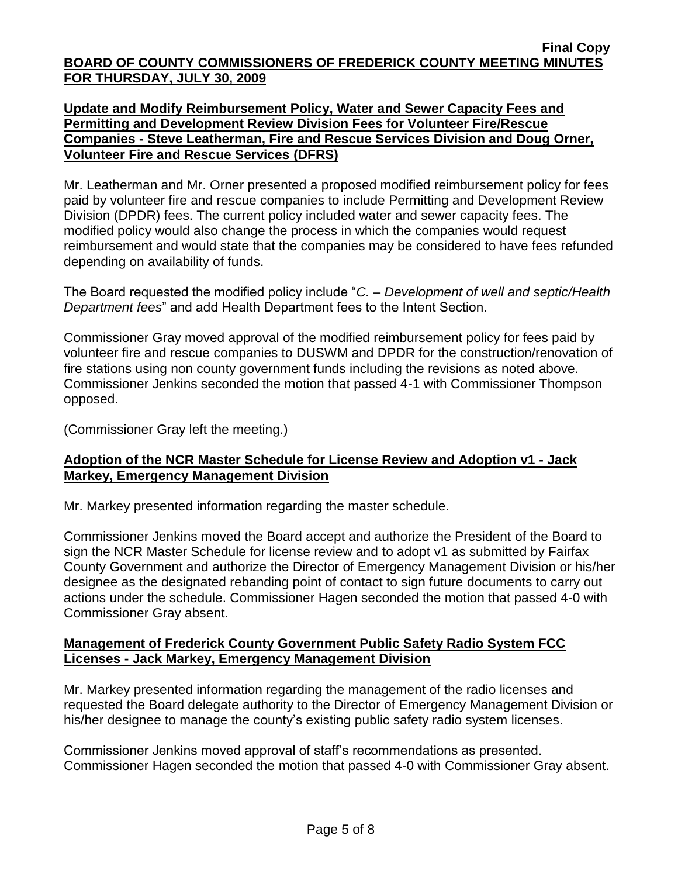# **Update and Modify Reimbursement Policy, Water and Sewer Capacity Fees and Permitting and Development Review Division Fees for Volunteer Fire/Rescue Companies - Steve Leatherman, Fire and Rescue Services Division and Doug Orner, Volunteer Fire and Rescue Services (DFRS)**

Mr. Leatherman and Mr. Orner presented a proposed modified reimbursement policy for fees paid by volunteer fire and rescue companies to include Permitting and Development Review Division (DPDR) fees. The current policy included water and sewer capacity fees. The modified policy would also change the process in which the companies would request reimbursement and would state that the companies may be considered to have fees refunded depending on availability of funds.

The Board requested the modified policy include "*C. – Development of well and septic/Health Department fees*" and add Health Department fees to the Intent Section.

Commissioner Gray moved approval of the modified reimbursement policy for fees paid by volunteer fire and rescue companies to DUSWM and DPDR for the construction/renovation of fire stations using non county government funds including the revisions as noted above. Commissioner Jenkins seconded the motion that passed 4-1 with Commissioner Thompson opposed.

(Commissioner Gray left the meeting.)

# **Adoption of the NCR Master Schedule for License Review and Adoption v1 - Jack Markey, Emergency Management Division**

Mr. Markey presented information regarding the master schedule.

Commissioner Jenkins moved the Board accept and authorize the President of the Board to sign the NCR Master Schedule for license review and to adopt v1 as submitted by Fairfax County Government and authorize the Director of Emergency Management Division or his/her designee as the designated rebanding point of contact to sign future documents to carry out actions under the schedule. Commissioner Hagen seconded the motion that passed 4-0 with Commissioner Gray absent.

# **Management of Frederick County Government Public Safety Radio System FCC Licenses - Jack Markey, Emergency Management Division**

Mr. Markey presented information regarding the management of the radio licenses and requested the Board delegate authority to the Director of Emergency Management Division or his/her designee to manage the county's existing public safety radio system licenses.

Commissioner Jenkins moved approval of staff's recommendations as presented. Commissioner Hagen seconded the motion that passed 4-0 with Commissioner Gray absent.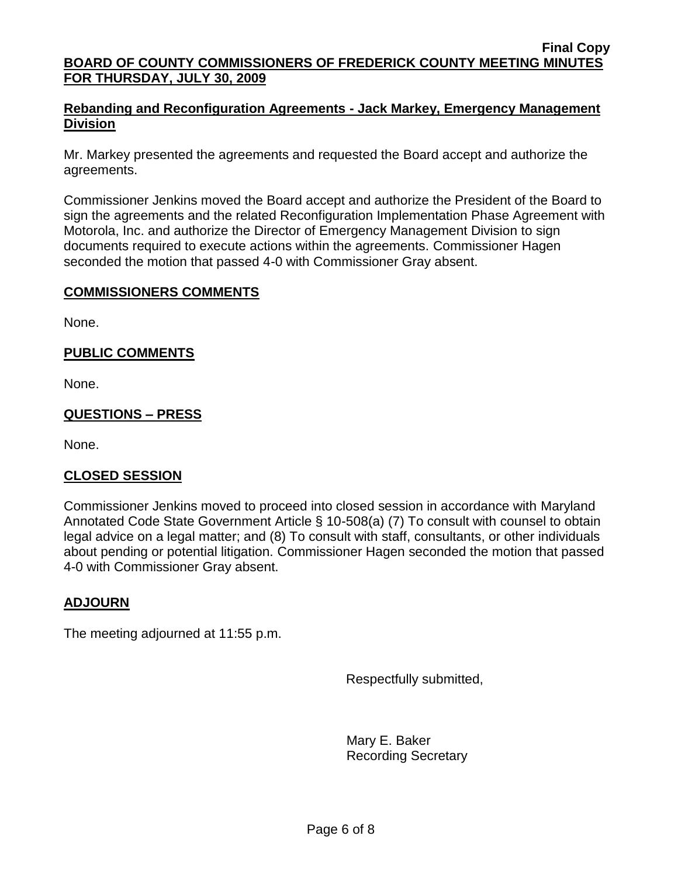# **Rebanding and Reconfiguration Agreements - Jack Markey, Emergency Management Division**

Mr. Markey presented the agreements and requested the Board accept and authorize the agreements.

Commissioner Jenkins moved the Board accept and authorize the President of the Board to sign the agreements and the related Reconfiguration Implementation Phase Agreement with Motorola, Inc. and authorize the Director of Emergency Management Division to sign documents required to execute actions within the agreements. Commissioner Hagen seconded the motion that passed 4-0 with Commissioner Gray absent.

# **COMMISSIONERS COMMENTS**

None.

# **PUBLIC COMMENTS**

None.

# **QUESTIONS – PRESS**

None.

### **CLOSED SESSION**

Commissioner Jenkins moved to proceed into closed session in accordance with Maryland Annotated Code State Government Article § 10-508(a) (7) To consult with counsel to obtain legal advice on a legal matter; and (8) To consult with staff, consultants, or other individuals about pending or potential litigation. Commissioner Hagen seconded the motion that passed 4-0 with Commissioner Gray absent.

# **ADJOURN**

The meeting adjourned at 11:55 p.m.

Respectfully submitted,

Mary E. Baker Recording Secretary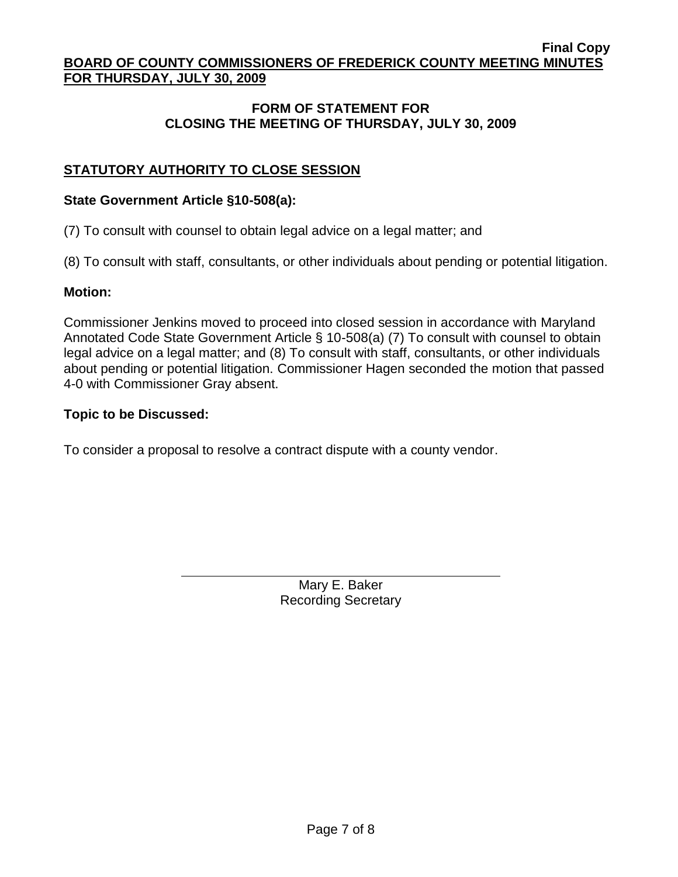# **FORM OF STATEMENT FOR CLOSING THE MEETING OF THURSDAY, JULY 30, 2009**

# **STATUTORY AUTHORITY TO CLOSE SESSION**

#### **State Government Article §10-508(a):**

(7) To consult with counsel to obtain legal advice on a legal matter; and

(8) To consult with staff, consultants, or other individuals about pending or potential litigation.

#### **Motion:**

Commissioner Jenkins moved to proceed into closed session in accordance with Maryland Annotated Code State Government Article § 10-508(a) (7) To consult with counsel to obtain legal advice on a legal matter; and (8) To consult with staff, consultants, or other individuals about pending or potential litigation. Commissioner Hagen seconded the motion that passed 4-0 with Commissioner Gray absent.

#### **Topic to be Discussed:**

To consider a proposal to resolve a contract dispute with a county vendor.

Mary E. Baker Recording Secretary